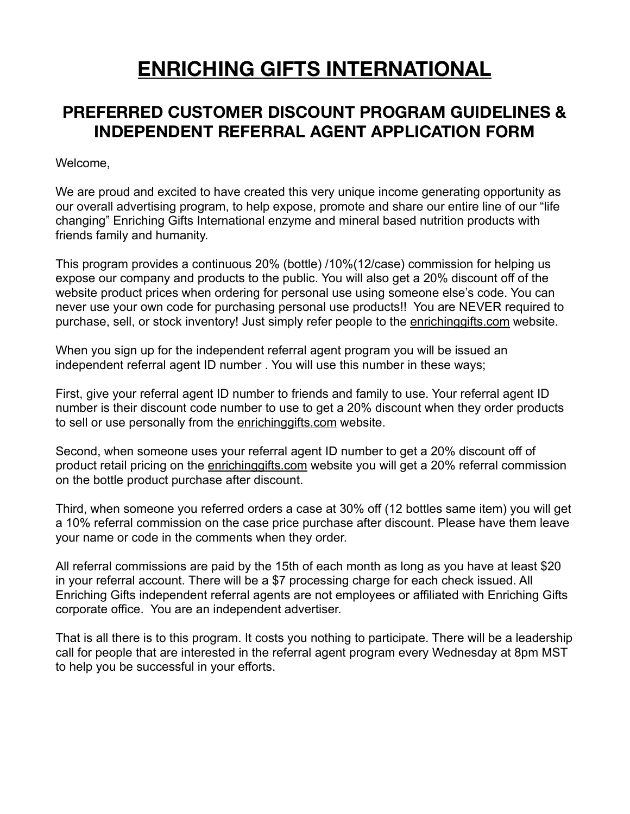## **ENRICHING GIFTS INTERNATIONAL**

## **PREFERRED CUSTOMER DISCOUNT PROGRAM GUIDELINES & INDEPENDENT REFERRAL AGENT APPLICATION FORM**

Welcome,

We are proud and excited to have created this very unique income generating opportunity as our overall advertising program, to help expose, promote and share our entire line of our "life changing" Enriching Gifts International enzyme and mineral based nutrition products with friends family and humanity.

This program provides a continuous 20% (bottle) /10%(12/case) commission for helping us expose our company and products to the public. You will also get a 20% discount off of the website product prices when ordering for personal use using someone else's code. You can never use your own code for purchasing personal use products!! You are NEVER required to purchase, sell, or stock inventory! Just simply refer people to the [enrichinggifts.com](http://enrichinggifts.com) website.

When you sign up for the independent referral agent program you will be issued an independent referral agent ID number . You will use this number in these ways;

First, give your referral agent ID number to friends and family to use. Your referral agent ID number is their discount code number to use to get a 20% discount when they order products to sell or use personally from the [enrichinggifts.com](http://enrichinggifts.com) website.

Second, when someone uses your referral agent ID number to get a 20% discount off of product retail pricing on the [enrichinggifts.com](http://enrichinggifts.com) website you will get a 20% referral commission on the bottle product purchase after discount.

Third, when someone you referred orders a case at 30% off (12 bottles same item) you will get a 10% referral commission on the case price purchase after discount. Please have them leave your name or code in the comments when they order.

All referral commissions are paid by the 15th of each month as long as you have at least \$20 in your referral account. There will be a \$7 processing charge for each check issued. All Enriching Gifts independent referral agents are not employees or affiliated with Enriching Gifts corporate office. You are an independent advertiser.

That is all there is to this program. It costs you nothing to participate. There will be a leadership call for people that are interested in the referral agent program every Wednesday at 8pm MST to help you be successful in your efforts.